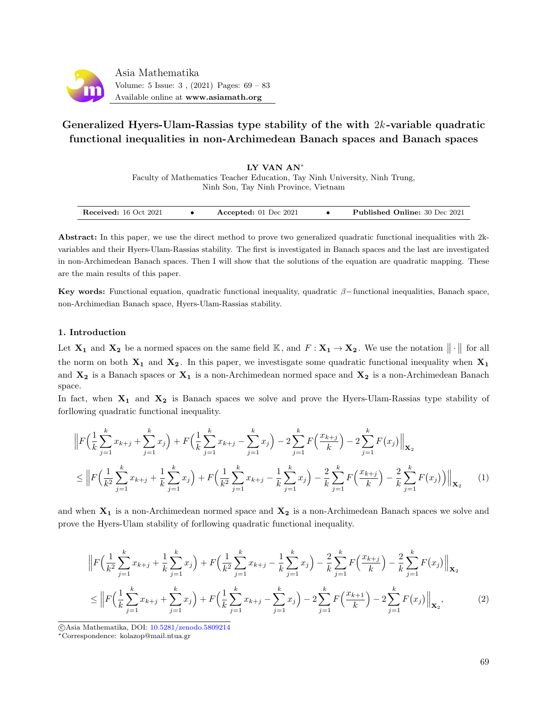

# Generalized Hyers-Ulam-Rassias type stability of the with  $2k$ -variable quadratic functional inequalities in non-Archimedean Banach spaces and Banach spaces

LY VAN AN<sup>∗</sup> Faculty of Mathematics Teacher Education, Tay Ninh University, Ninh Trung, Ninh Son, Tay Ninh Province, Vietnam

| <b>Received:</b> 16 Oct 2021<br>Accepted: $01$ Dec 2021 | <b>Published Online: 30 Dec 2021</b> |
|---------------------------------------------------------|--------------------------------------|
|---------------------------------------------------------|--------------------------------------|

Abstract: In this paper, we use the direct method to prove two generalized quadratic functional inequalities with 2kvariables and their Hyers-Ulam-Rassias stability. The first is investigated in Banach spaces and the last are investigated in non-Archimedean Banach spaces. Then I will show that the solutions of the equation are quadratic mapping. These are the main results of this paper.

Key words: Functional equation, quadratic functional inequality, quadratic  $\beta$ −functional inequalities, Banach space, non-Archimedian Banach space, Hyers-Ulam-Rassias stability.

### 1. Introduction

Let  $X_1$  and  $X_2$  be a normed spaces on the same field K, and  $F: X_1 \to X_2$ . We use the notation  $\|\cdot\|$  for all the norm on both  $X_1$  and  $X_2$ . In this paper, we investisgate some quadratic functional inequality when  $X_1$ and  $X_2$  is a Banach spaces or  $X_1$  is a non-Archimedean normed space and  $X_2$  is a non-Archimedean Banach space.

In fact, when  $X_1$  and  $X_2$  is Banach spaces we solve and prove the Hyers-Ulam-Rassias type stability of forllowing quadratic functional inequality.

$$
\|F\left(\frac{1}{k}\sum_{j=1}^{k}x_{k+j}+\sum_{j=1}^{k}x_j\right)+F\left(\frac{1}{k}\sum_{j=1}^{k}x_{k+j}-\sum_{j=1}^{k}x_j\right)-2\sum_{j=1}^{k}F\left(\frac{x_{k+j}}{k}\right)-2\sum_{j=1}^{k}F(x_j)\Big\|_{\mathbf{X}_2}
$$
\n
$$
\leq \Big\|F\left(\frac{1}{k^2}\sum_{j=1}^{k}x_{k+j}+\frac{1}{k}\sum_{j=1}^{k}x_j\right)+F\left(\frac{1}{k^2}\sum_{j=1}^{k}x_{k+j}-\frac{1}{k}\sum_{j=1}^{k}x_j\right)-\frac{2}{k}\sum_{j=1}^{k}F\left(\frac{x_{k+j}}{k}\right)-\frac{2}{k}\sum_{j=1}^{k}F(x_j)\Big)\Big\|_{\mathbf{X}_2} \qquad (1)
$$

and when  $X_1$  is a non-Archimedean normed space and  $X_2$  is a non-Archimedean Banach spaces we solve and prove the Hyers-Ulam stability of forllowing quadratic functional inequality.

$$
\|F\left(\frac{1}{k^2}\sum_{j=1}^k x_{k+j} + \frac{1}{k}\sum_{j=1}^k x_j\right) + F\left(\frac{1}{k^2}\sum_{j=1}^k x_{k+j} - \frac{1}{k}\sum_{j=1}^k x_j\right) - \frac{2}{k}\sum_{j=1}^k F\left(\frac{x_{k+j}}{k}\right) - \frac{2}{k}\sum_{j=1}^k F(x_j) \Big\|_{\mathbf{X}_2}
$$
\n
$$
\leq \left\|F\left(\frac{1}{k}\sum_{j=1}^k x_{k+j} + \sum_{j=1}^k x_j\right) + F\left(\frac{1}{k}\sum_{j=1}^k x_{k+j} - \sum_{j=1}^k x_j\right) - 2\sum_{j=1}^k F\left(\frac{x_{k+1}}{k}\right) - 2\sum_{j=1}^k F(x_j) \Big\|_{\mathbf{X}_2},\tag{2}
$$

c Asia Mathematika, DOI: [10.5281/zenodo.5809214](http://www.asiamath.org/article/vol5iss3/AM-2112-3004.pdf)

<sup>∗</sup>Correspondence: kolazop@mail.ntua.gr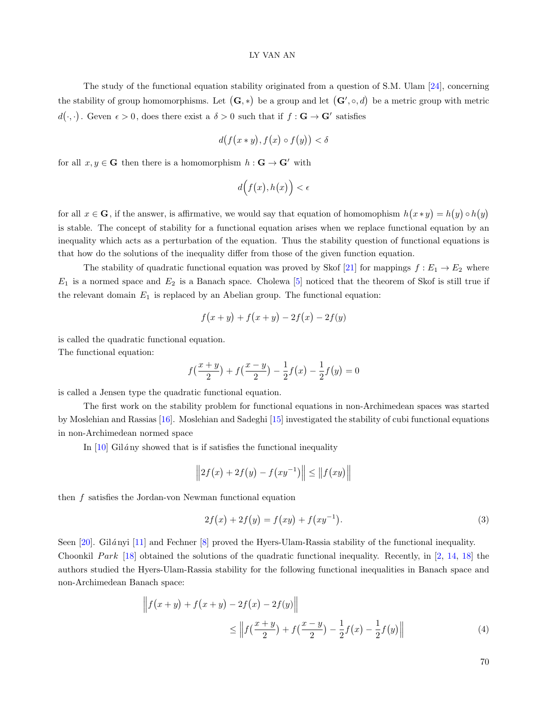The study of the functional equation stability originated from a question of S.M. Ulam [\[24\]](#page-14-0), concerning the stability of group homomorphisms. Let  $(G,*)$  be a group and let  $(G', \circ, d)$  be a metric group with metric  $d(\cdot, \cdot)$ . Geven  $\epsilon > 0$ , does there exist a  $\delta > 0$  such that if  $f : G \to G'$  satisfies

$$
d(f(x*y), f(x) \circ f(y)) < \delta
$$

for all  $x, y \in G$  then there is a homomorphism  $h : G \to G'$  with

$$
d\Big(f\big(x\big),h\big(x\big)\Big)<\epsilon
$$

for all  $x \in G$ , if the answer, is affirmative, we would say that equation of homomophism  $h(x * y) = h(y) \circ h(y)$ is stable. The concept of stability for a functional equation arises when we replace functional equation by an inequality which acts as a perturbation of the equation. Thus the stability question of functional equations is that how do the solutions of the inequality differ from those of the given function equation.

The stability of quadratic functional equation was proved by Skof [\[21\]](#page-14-1) for mappings  $f : E_1 \to E_2$  where  $E_1$  is a normed space and  $E_2$  is a Banach space. Cholewa [\[5\]](#page-14-2) noticed that the theorem of Skof is still true if the relevant domain  $E_1$  is replaced by an Abelian group. The functional equation:

$$
f(x + y) + f(x + y) - 2f(x) - 2f(y)
$$

is called the quadratic functional equation.

The functional equation:

$$
f(\frac{x+y}{2}) + f(\frac{x-y}{2}) - \frac{1}{2}f(x) - \frac{1}{2}f(y) = 0
$$

is called a Jensen type the quadratic functional equation.

The first work on the stability problem for functional equations in non-Archimedean spaces was started by Moslehian and Rassias [\[16\]](#page-14-3). Moslehian and Sadeghi [\[15\]](#page-14-4) investigated the stability of cubi functional equations in non-Archimedean normed space

In  $[10]$  Gilány showed that is if satisfies the functional inequality

$$
||2f(x) + 2f(y) - f(xy^{-1})|| \le ||f(xy)||
$$

then  $f$  satisfies the Jordan-von Newman functional equation

$$
2f(x) + 2f(y) = f(xy) + f(xy^{-1}).
$$
\n(3)

Seen [\[20\]](#page-14-6). Gilányi [\[11\]](#page-14-7) and Fechner [\[8\]](#page-14-8) proved the Hyers-Ulam-Rassia stability of the functional inequality. Choonkil Park [\[18\]](#page-14-9) obtained the solutions of the quadratic functional inequality. Recently, in [\[2,](#page-14-10) [14,](#page-14-11) [18\]](#page-14-9) the authors studied the Hyers-Ulam-Rassia stability for the following functional inequalities in Banach space and non-Archimedean Banach space:

$$
\left\| f(x+y) + f(x+y) - 2f(x) - 2f(y) \right\|
$$
  
\$\leq \left\| f\left(\frac{x+y}{2}\right) + f\left(\frac{x-y}{2}\right) - \frac{1}{2}f(x) - \frac{1}{2}f(y) \right\|\$ (4)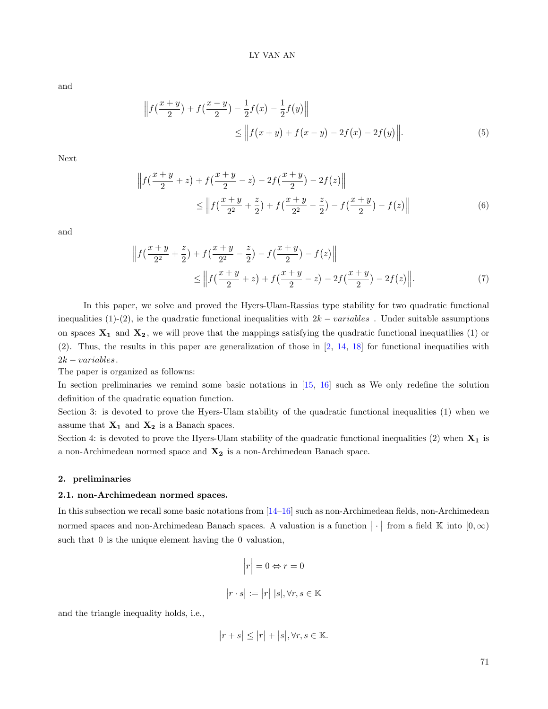and

$$
\left\| f\left(\frac{x+y}{2}\right) + f\left(\frac{x-y}{2}\right) - \frac{1}{2}f(x) - \frac{1}{2}f(y) \right\|
$$
  
 
$$
\leq \left\| f(x+y) + f(x-y) - 2f(x) - 2f(y) \right\|. \tag{5}
$$

Next

$$
\left\| f\left(\frac{x+y}{2} + z\right) + f\left(\frac{x+y}{2} - z\right) - 2f\left(\frac{x+y}{2}\right) - 2f(z) \right\|
$$
  
 
$$
\leq \left\| f\left(\frac{x+y}{2^2} + \frac{z}{2}\right) + f\left(\frac{x+y}{2^2} - \frac{z}{2}\right) - f\left(\frac{x+y}{2}\right) - f(z) \right\|
$$
 (6)

and

$$
\left\| f\left(\frac{x+y}{2^2} + \frac{z}{2}\right) + f\left(\frac{x+y}{2^2} - \frac{z}{2}\right) - f\left(\frac{x+y}{2}\right) - f(z) \right\|
$$
  
\$\leq \left\| f\left(\frac{x+y}{2} + z\right) + f\left(\frac{x+y}{2} - z\right) - 2f\left(\frac{x+y}{2}\right) - 2f(z) \right\|. \$(7)\$

In this paper, we solve and proved the Hyers-Ulam-Rassias type stability for two quadratic functional inequalities (1)-(2), ie the quadratic functional inequalities with  $2k - variables$ . Under suitable assumptions on spaces  $X_1$  and  $X_2$ , we will prove that the mappings satisfying the quadratic functional inequatilies (1) or (2). Thus, the results in this paper are generalization of those in [\[2,](#page-14-10) [14,](#page-14-11) [18\]](#page-14-9) for functional inequatilies with  $2k - variables.$ 

The paper is organized as followns:

In section preliminaries we remind some basic notations in [\[15,](#page-14-4) [16\]](#page-14-3) such as We only redefine the solution definition of the quadratic equation function.

Section 3: is devoted to prove the Hyers-Ulam stability of the quadratic functional inequalities (1) when we assume that  $X_1$  and  $X_2$  is a Banach spaces.

Section 4: is devoted to prove the Hyers-Ulam stability of the quadratic functional inequalities (2) when  $X_1$  is a non-Archimedean normed space and  $X_2$  is a non-Archimedean Banach space.

#### 2. preliminaries

### 2.1. non-Archimedean normed spaces.

In this subsection we recall some basic notations from [\[14–](#page-14-11)[16\]](#page-14-3) such as non-Archimedean fields, non-Archimedean normed spaces and non-Archimedean Banach spaces. A valuation is a function  $|\cdot|$  from a field  $\mathbb K$  into  $[0,\infty)$ such that 0 is the unique element having the 0 valuation,

$$
\left| r \right| = 0 \Leftrightarrow r = 0
$$
  

$$
\left| r \cdot s \right| := \left| r \right| \left| s \right|, \forall r, s \in \mathbb{K}
$$

and the triangle inequality holds, i.e.,

$$
|r+s|\leq |r|+|s|, \forall r,s\in \mathbb{K}.
$$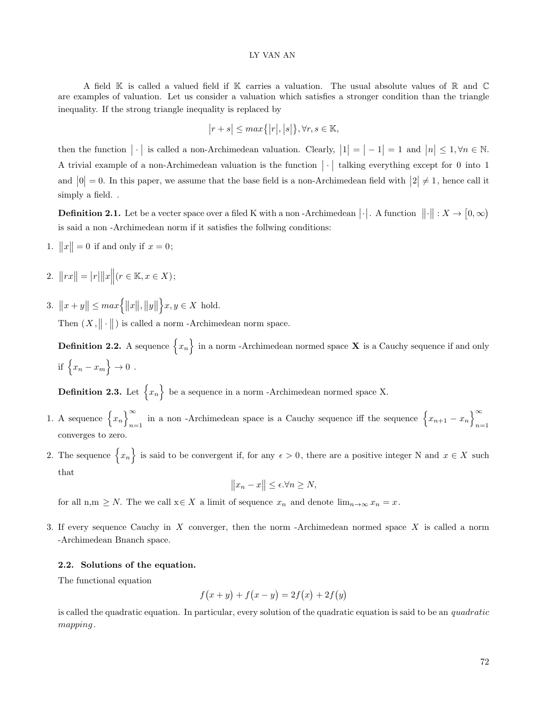A field K is called a valued field if K carries a valuation. The usual absolute values of R and C are examples of valuation. Let us consider a valuation which satisfies a stronger condition than the triangle inequality. If the strong triangle inequality is replaced by

$$
|r+s| \le \max\{|r|,|s|\}, \forall r, s \in \mathbb{K},
$$

then the function  $|\cdot|$  is called a non-Archimedean valuation. Clearly,  $|1| = |-1| = 1$  and  $|n| \leq 1, \forall n \in \mathbb{N}$ . A trivial example of a non-Archimedean valuation is the function  $|\cdot|$  talking everything except for 0 into 1 and  $|0| = 0$ . In this paper, we assume that the base field is a non-Archimedean field with  $|2| \neq 1$ , hence call it simply a field. .

**Definition 2.1.** Let be a vecter space over a filed K with a non-Archimedean  $|\cdot|$ . A function  $\|\cdot\|: X \to [0, \infty)$ is said a non -Archimedean norm if it satisfies the follwing conditions:

- 1.  $||x|| = 0$  if and only if  $x = 0$ ;
- 2.  $||rx|| = |r| ||x|| (r \in \mathbb{K}, x \in X);$
- 3.  $||x + y|| \leq max \{ ||x||, ||y||$  $x, y \in X$  hold.

Then  $(X, \|\cdot\|)$  is called a norm -Archimedean norm space.

**Definition 2.2.** A sequence  $\{x_n\}$  in a norm -Archimedean normed space **X** is a Cauchy sequence if and only if  $\{x_n - x_m\} \to 0$ .

**Definition 2.3.** Let  $\{x_n\}$  be a sequence in a norm -Archimedean normed space X.

- 1. A sequence  $\{x_n\}^{\infty}$  $\sum_{n=1}^{\infty}$  in a non -Archimedean space is a Cauchy sequence iff the sequence  $\left\{x_{n+1} - x_n\right\}_{n=1}^{\infty}$  $n=1$ converges to zero.
- 2. The sequence  $\{x_n\}$  is said to be convergent if, for any  $\epsilon > 0$ , there are a positive integer N and  $x \in X$  such that

$$
||x_n - x|| \le \epsilon \forall n \ge N,
$$

for all n,m  $\geq N$ . The we call  $x \in X$  a limit of sequence  $x_n$  and denote  $\lim_{n \to \infty} x_n = x$ .

3. If every sequence Cauchy in X converger, then the norm -Archimedean normed space X is called a norm -Archimedean Bnanch space.

### 2.2. Solutions of the equation.

The functional equation

$$
f(x + y) + f(x - y) = 2f(x) + 2f(y)
$$

is called the quadratic equation. In particular, every solution of the quadratic equation is said to be an quadratic mapping .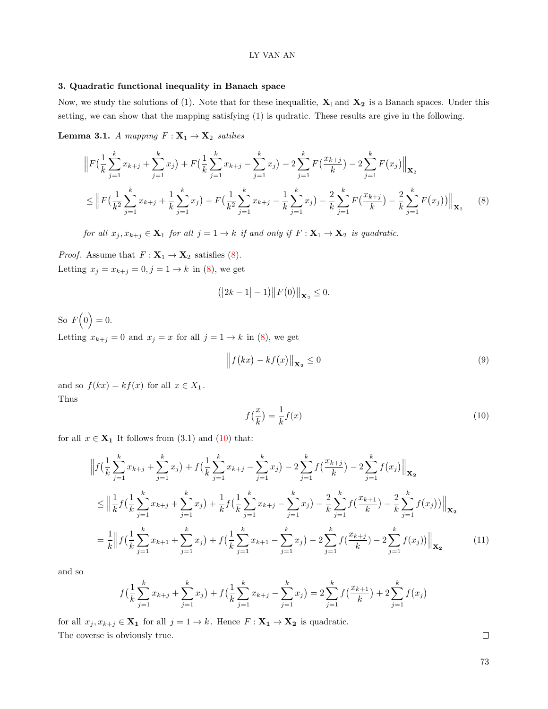### 3. Quadratic functional inequality in Banach space

Now, we study the solutions of (1). Note that for these inequalitie,  $X_1$  and  $X_2$  is a Banach spaces. Under this setting, we can show that the mapping satisfying (1) is qudratic. These results are give in the following.

**Lemma 3.1.** A mapping  $F: \mathbf{X}_1 \to \mathbf{X}_2$  satilies

$$
\|F\left(\frac{1}{k}\sum_{j=1}^{k}x_{k+j}+\sum_{j=1}^{k}x_j\right)+F\left(\frac{1}{k}\sum_{j=1}^{k}x_{k+j}-\sum_{j=1}^{k}x_j\right)-2\sum_{j=1}^{k}F\left(\frac{x_{k+j}}{k}\right)-2\sum_{j=1}^{k}F(x_j)\Big\|_{\mathbf{X}_2}
$$
\n
$$
\leq \Big\|F\left(\frac{1}{k^2}\sum_{j=1}^{k}x_{k+j}+\frac{1}{k}\sum_{j=1}^{k}x_j\right)+F\left(\frac{1}{k^2}\sum_{j=1}^{k}x_{k+j}-\frac{1}{k}\sum_{j=1}^{k}x_j\right)-\frac{2}{k}\sum_{j=1}^{k}F\left(\frac{x_{k+j}}{k}\right)-\frac{2}{k}\sum_{j=1}^{k}F(x_j)\Big\|_{\mathbf{X}_2}
$$
\n
$$
(8)
$$

for all  $x_j, x_{k+j} \in \mathbf{X}_1$  for all  $j = 1 \to k$  if and only if  $F: \mathbf{X}_1 \to \mathbf{X}_2$  is quadratic.

*Proof.* Assume that  $F: \mathbf{X}_1 \to \mathbf{X}_2$  satisfies [\(8\)](#page-4-0). Letting  $x_j = x_{k+j} = 0, j = 1 \rightarrow k$  in [\(8\)](#page-4-0), we get

<span id="page-4-0"></span>
$$
(|2k-1|-1)||F(0)||_{\mathbf{X}_2} \leq 0.
$$

So  $F(0)=0$ . Letting  $x_{k+j} = 0$  and  $x_j = x$  for all  $j = 1 \rightarrow k$  in [\(8\)](#page-4-0), we get

$$
\left\|f(kx) - kf(x)\right\|_{\mathbf{X_2}} \le 0\tag{9}
$$

<span id="page-4-1"></span>and so  $f(kx) = kf(x)$  for all  $x \in X_1$ . Thus

$$
f\left(\frac{x}{k}\right) = \frac{1}{k}f(x) \tag{10}
$$

for all  $x \in \mathbf{X_1}$  It follows from (3.1) and [\(10\)](#page-4-1) that:

$$
\left\| f\left(\frac{1}{k}\sum_{j=1}^{k}x_{k+j} + \sum_{j=1}^{k}x_j\right) + f\left(\frac{1}{k}\sum_{j=1}^{k}x_{k+j} - \sum_{j=1}^{k}x_j\right) - 2\sum_{j=1}^{k} f\left(\frac{x_{k+j}}{k}\right) - 2\sum_{j=1}^{k} f(x_j) \right\|_{\mathbf{X_2}}
$$
\n
$$
\leq \left\| \frac{1}{k} f\left(\frac{1}{k}\sum_{j=1}^{k}x_{k+j} + \sum_{j=1}^{k}x_j\right) + \frac{1}{k} f\left(\frac{1}{k}\sum_{j=1}^{k}x_{k+j} - \sum_{j=1}^{k}x_j\right) - \frac{2}{k}\sum_{j=1}^{k} f\left(\frac{x_{k+1}}{k}\right) - \frac{2}{k}\sum_{j=1}^{k} f(x_j) \right) \right\|_{\mathbf{X_2}}
$$
\n
$$
= \frac{1}{k} \left\| f\left(\frac{1}{k}\sum_{j=1}^{k}x_{k+1} + \sum_{j=1}^{k}x_j\right) + f\left(\frac{1}{k}\sum_{j=1}^{k}x_{k+1} - \sum_{j=1}^{k}x_j\right) - 2\sum_{j=1}^{k} f\left(\frac{x_{k+j}}{k}\right) - 2\sum_{j=1}^{k} f(x_j) \right) \right\|_{\mathbf{X_2}}
$$
\n(11)

and so

$$
f\left(\frac{1}{k}\sum_{j=1}^{k}x_{k+j} + \sum_{j=1}^{k}x_j\right) + f\left(\frac{1}{k}\sum_{j=1}^{k}x_{k+j} - \sum_{j=1}^{k}x_j\right) = 2\sum_{j=1}^{k}f\left(\frac{x_{k+1}}{k}\right) + 2\sum_{j=1}^{k}f\left(x_j\right)
$$

for all  $x_j, x_{k+j} \in \mathbf{X_1}$  for all  $j = 1 \to k$ . Hence  $F : \mathbf{X_1} \to \mathbf{X_2}$  is quadratic. The coverse is obviously true.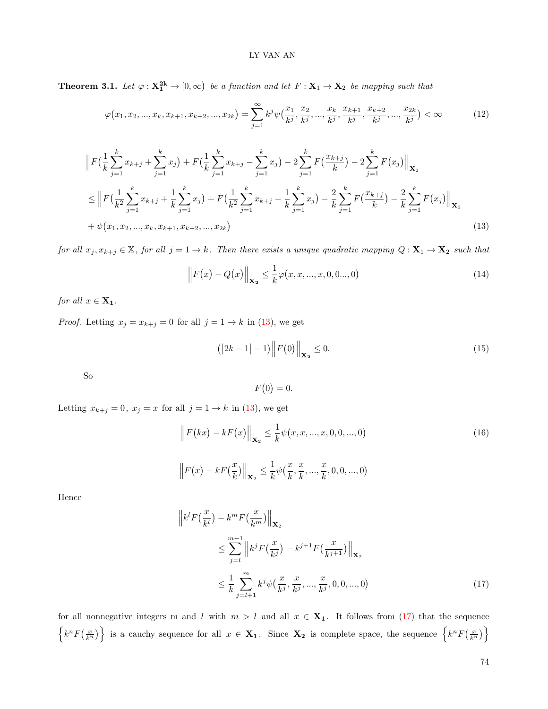**Theorem 3.1.** Let  $\varphi: \mathbf{X_1^{2k}} \to [0, \infty)$  be a function and let  $F: \mathbf{X_1} \to \mathbf{X_2}$  be mapping such that

$$
\varphi(x_1, x_2, ..., x_k, x_{k+1}, x_{k+2}, ..., x_{2k}) = \sum_{j=1}^{\infty} k^j \psi\left(\frac{x_1}{k^j}, \frac{x_2}{k^j}, ..., \frac{x_k}{k^j}, \frac{x_{k+1}}{k^j}, \frac{x_{k+2}}{k^j}, ..., \frac{x_{2k}}{k^j}\right) < \infty
$$
(12)

$$
\|F\left(\frac{1}{k}\sum_{j=1}^{k}x_{k+j}+\sum_{j=1}^{k}x_j\right)+F\left(\frac{1}{k}\sum_{j=1}^{k}x_{k+j}-\sum_{j=1}^{k}x_j\right)-2\sum_{j=1}^{k}F\left(\frac{x_{k+j}}{k}\right)-2\sum_{j=1}^{k}F(x_j)\Big\|_{\mathbf{X}_2}
$$
\n
$$
\leq \Big\|F\left(\frac{1}{k^2}\sum_{j=1}^{k}x_{k+j}+\frac{1}{k}\sum_{j=1}^{k}x_j\right)+F\left(\frac{1}{k^2}\sum_{j=1}^{k}x_{k+j}-\frac{1}{k}\sum_{j=1}^{k}x_j\right)-\frac{2}{k}\sum_{j=1}^{k}F\left(\frac{x_{k+j}}{k}\right)-\frac{2}{k}\sum_{j=1}^{k}F(x_j)\Big\|_{\mathbf{X}_2}
$$
\n
$$
+\psi(x_1, x_2, ..., x_k, x_{k+1}, x_{k+2}, ..., x_{2k})
$$
\n(13)

for all  $x_j, x_{k+j} \in \mathbb{X}$ , for all  $j = 1 \to k$ . Then there exists a unique quadratic mapping  $Q: \mathbf{X}_1 \to \mathbf{X}_2$  such that

<span id="page-5-3"></span>
$$
\left\| F(x) - Q(x) \right\|_{\mathbf{X_2}} \le \frac{1}{k} \varphi(x, x, ..., x, 0, 0..., 0)
$$
\n(14)

for all  $x \in \mathbf{X_1}$ .

*Proof.* Letting  $x_j = x_{k+j} = 0$  for all  $j = 1 \rightarrow k$  in [\(13\)](#page-5-0), we get

$$
(|2k - 1| - 1)\|F(0)\|_{\mathbf{X_2}} \le 0.
$$
\n(15)

So

<span id="page-5-2"></span><span id="page-5-1"></span><span id="page-5-0"></span>
$$
F(0) = 0.
$$

Letting  $x_{k+j} = 0$ ,  $x_j = x$  for all  $j = 1 \rightarrow k$  in [\(13\)](#page-5-0), we get

$$
\|F(kx) - kF(x)\|_{\mathbf{X}_2} \le \frac{1}{k}\psi(x, x, ..., x, 0, 0, ..., 0)
$$
\n
$$
\|F(x) - kF(\frac{x}{k})\|_{\mathbf{X}_2} \le \frac{1}{k}\psi(\frac{x}{k}, \frac{x}{k}, ..., \frac{x}{k}, 0, 0, ..., 0)
$$
\n(16)

Hence

$$
\|k^{l} F(\frac{x}{k^{l}}) - k^{m} F(\frac{x}{k^{m}}) \|_{\mathbf{X}_{2}} \n\leq \sum_{j=l}^{m-1} \|k^{j} F(\frac{x}{k^{j}}) - k^{j+1} F(\frac{x}{k^{j+1}}) \|_{\mathbf{X}_{2}} \n\leq \frac{1}{k} \sum_{j=l+1}^{m} k^{j} \psi(\frac{x}{k^{j}}, \frac{x}{k^{j}}, ..., \frac{x}{k^{j}}, 0, 0, ..., 0)
$$
\n(17)

for all nonnegative integers m and l with  $m > l$  and all  $x \in \mathbf{X}_1$ . It follows from [\(17\)](#page-5-1) that the sequence  $\left\{k^n F\left(\frac{x}{k^n}\right)\right\}$  is a cauchy sequence for all  $x \in \mathbf{X_1}$ . Since  $\mathbf{X_2}$  is complete space, the sequence  $\left\{k^n F\left(\frac{x}{k^n}\right)\right\}$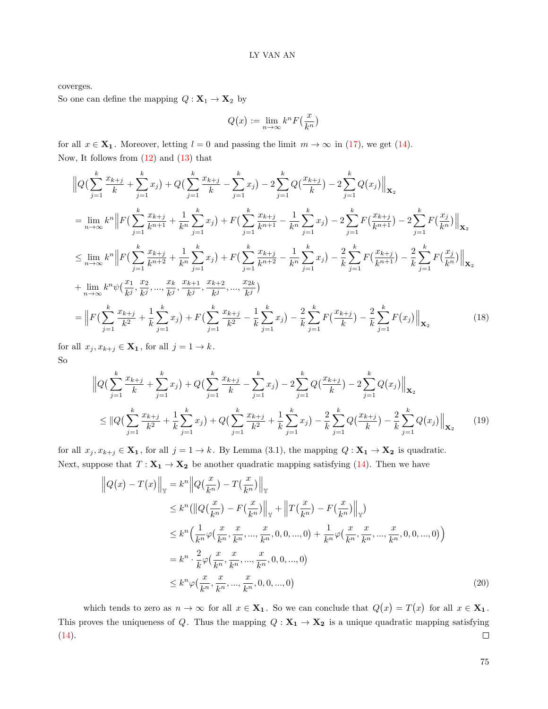coverges.

So one can define the mapping  $Q: \mathbf{X}_1 \to \mathbf{X}_2$  by

$$
Q\big(x\big):=\lim_{n\to\infty}k^nF\big(\frac{x}{k^n}\big)
$$

for all  $x \in \mathbf{X_1}$ . Moreover, letting  $l = 0$  and passing the limit  $m \to \infty$  in [\(17\)](#page-5-1), we get [\(14\)](#page-5-2). Now, It follows from  $(12)$  and  $(13)$  that

$$
\|Q\left(\sum_{j=1}^{k} \frac{x_{k+j}}{k} + \sum_{j=1}^{k} x_j\right) + Q\left(\sum_{j=1}^{k} \frac{x_{k+j}}{k} - \sum_{j=1}^{k} x_j\right) - 2\sum_{j=1}^{k} Q\left(\frac{x_{k+j}}{k}\right) - 2\sum_{j=1}^{k} Q(x_j)\Big\|_{\mathbf{X}_2}
$$
\n
$$
= \lim_{n \to \infty} k^n \left\|F\left(\sum_{j=1}^{k} \frac{x_{k+j}}{k^{n+1}} + \frac{1}{k^n} \sum_{j=1}^{k} x_j\right) + F\left(\sum_{j=1}^{k} \frac{x_{k+j}}{k^{n+1}} - \frac{1}{k^n} \sum_{j=1}^{k} x_j\right) - 2\sum_{j=1}^{k} F\left(\frac{x_{k+j}}{k^{n+1}}\right) - 2\sum_{j=1}^{k} F\left(\frac{x_j}{k^n}\right)\Big\|_{\mathbf{X}_2}
$$
\n
$$
\leq \lim_{n \to \infty} k^n \left\|F\left(\sum_{j=1}^{k} \frac{x_{k+j}}{k^{n+2}} + \frac{1}{k^n} \sum_{j=1}^{k} x_j\right) + F\left(\sum_{j=1}^{k} \frac{x_{k+j}}{k^{n+2}} - \frac{1}{k^n} \sum_{j=1}^{k} x_j\right) - \frac{2}{k} \sum_{j=1}^{k} F\left(\frac{x_{k+j}}{k^{n+1}}\right) - \frac{2}{k} \sum_{j=1}^{k} F\left(\frac{x_j}{k^n}\right) \Big\|_{\mathbf{X}_2}
$$
\n
$$
+ \lim_{n \to \infty} k^n \psi\left(\frac{x_1}{k^j}, \frac{x_2}{k^j}, \dots, \frac{x_k}{k^j}, \frac{x_{k+1}}{k^j}, \frac{x_{k+2}}{k^j}, \dots, \frac{x_{2k}}{k^j}\right)
$$
\n
$$
= \left\|F\left(\sum_{j=1}^{k} \frac{x_{k+j}}{k^2} + \frac{1}{k} \sum_{j=1}^{k} x_j\right) + F\left(\sum_{j=1}^{k} \frac{x_{k+j}}{k^2} - \frac{1}{k} \sum_{j=1}^{k} x_j\
$$

for all  $x_j, x_{k+j} \in \mathbf{X}_1$ , for all  $j = 1 \to k$ . So

$$
\|Q\left(\sum_{j=1}^{k} \frac{x_{k+j}}{k} + \sum_{j=1}^{k} x_j\right) + Q\left(\sum_{j=1}^{k} \frac{x_{k+j}}{k} - \sum_{j=1}^{k} x_j\right) - 2\sum_{j=1}^{k} Q\left(\frac{x_{k+j}}{k}\right) - 2\sum_{j=1}^{k} Q(x_j) \Big\|_{\mathbf{X}_2}
$$
  
\n
$$
\leq \|Q\left(\sum_{j=1}^{k} \frac{x_{k+j}}{k^2} + \frac{1}{k} \sum_{j=1}^{k} x_j\right) + Q\left(\sum_{j=1}^{k} \frac{x_{k+j}}{k^2} + \frac{1}{k} \sum_{j=1}^{k} x_j\right) - \frac{2}{k} \sum_{j=1}^{k} Q\left(\frac{x_{k+j}}{k}\right) - \frac{2}{k} \sum_{j=1}^{k} Q(x_j) \Big\|_{\mathbf{X}_2}
$$
(19)

for all  $x_j, x_{k+j} \in \mathbf{X_1}$ , for all  $j = 1 \to k$ . By Lemma (3.1), the mapping  $Q : \mathbf{X_1} \to \mathbf{X_2}$  is quadratic. Next, suppose that  $T: \mathbf{X_1} \to \mathbf{X_2}$  be another quadratic mapping satisfying [\(14\)](#page-5-2). Then we have

$$
\|Q(x) - T(x)\|_{\mathbb{Y}} = k^{n} \|Q(\frac{x}{k^{n}}) - T(\frac{x}{k^{n}})\|_{\mathbb{Y}}
$$
  
\n
$$
\leq k^{n} (\|Q(\frac{x}{k^{n}}) - F(\frac{x}{k^{n}})\|_{\mathbb{Y}} + \|T(\frac{x}{k^{n}}) - F(\frac{x}{k^{n}})\|_{\mathbb{Y}})
$$
  
\n
$$
\leq k^{n} \Big(\frac{1}{k^{n}} \varphi(\frac{x}{k^{n}}, \frac{x}{k^{n}}, ..., \frac{x}{k^{n}}, 0, 0, ..., 0) + \frac{1}{k^{n}} \varphi(\frac{x}{k^{n}}, \frac{x}{k^{n}}, ..., \frac{x}{k^{n}}, 0, 0, ..., 0)\Big)
$$
  
\n
$$
= k^{n} \cdot \frac{2}{k} \varphi(\frac{x}{k^{n}}, \frac{x}{k^{n}}, ..., \frac{x}{k^{n}}, 0, 0, ..., 0)
$$
  
\n
$$
\leq k^{n} \varphi(\frac{x}{k^{n}}, \frac{x}{k^{n}}, ..., \frac{x}{k^{n}}, 0, 0, ..., 0)
$$
\n(20)

which tends to zero as  $n \to \infty$  for all  $x \in \mathbf{X}_1$ . So we can conclude that  $Q(x) = T(x)$  for all  $x \in \mathbf{X}_1$ . This proves the uniqueness of Q. Thus the mapping  $Q: X_1 \to X_2$  is a unique quadratic mapping satisfying  $\Box$  $(14).$  $(14).$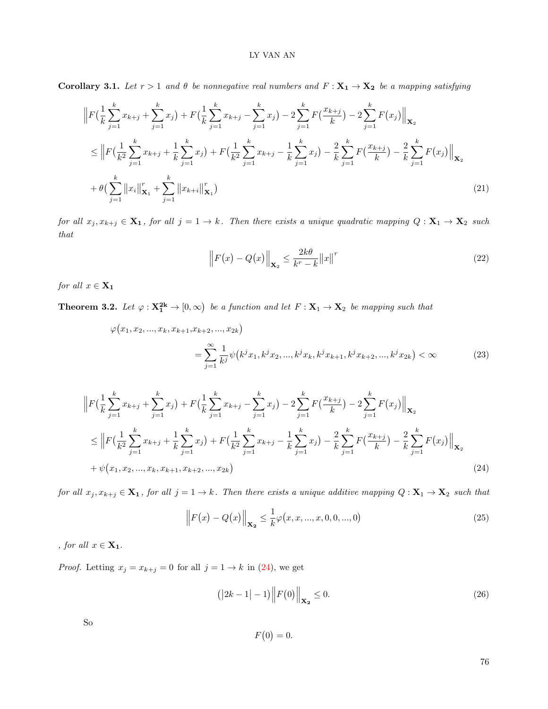Corollary 3.1. Let  $r > 1$  and  $\theta$  be nonnegative real numbers and  $F: X_1 \to X_2$  be a mapping satisfying

$$
\|F\left(\frac{1}{k}\sum_{j=1}^{k}x_{k+j}+\sum_{j=1}^{k}x_j\right)+F\left(\frac{1}{k}\sum_{j=1}^{k}x_{k+j}-\sum_{j=1}^{k}x_j\right)-2\sum_{j=1}^{k}F\left(\frac{x_{k+j}}{k}\right)-2\sum_{j=1}^{k}F(x_j)\Big\|_{\mathbf{X}_2}
$$
\n
$$
\leq \Big\|F\left(\frac{1}{k^2}\sum_{j=1}^{k}x_{k+j}+\frac{1}{k}\sum_{j=1}^{k}x_j\right)+F\left(\frac{1}{k^2}\sum_{j=1}^{k}x_{k+j}-\frac{1}{k}\sum_{j=1}^{k}x_j\right)-\frac{2}{k}\sum_{j=1}^{k}F\left(\frac{x_{k+j}}{k}\right)-\frac{2}{k}\sum_{j=1}^{k}F(x_j)\Big\|_{\mathbf{X}_2}
$$
\n
$$
+\theta\left(\sum_{j=1}^{k}\|x_i\|_{\mathbf{X}_1}^r+\sum_{j=1}^{k}\|x_{k+i}\|_{\mathbf{X}_1}^r\right) \tag{21}
$$

for all  $x_j, x_{k+j} \in \mathbf{X_1}$ , for all  $j = 1 \to k$ . Then there exists a unique quadratic mapping  $Q: \mathbf{X}_1 \to \mathbf{X}_2$  such that

$$
\left\| F(x) - Q(x) \right\|_{\mathbf{X}_2} \le \frac{2k\theta}{k^r - k} \left\| x \right\|^r \tag{22}
$$

for all  $x \in \mathbf{X_1}$ 

**Theorem 3.2.** Let  $\varphi : \mathbf{X_1^{2k}} \to [0, \infty)$  be a function and let  $F : \mathbf{X_1} \to \mathbf{X_2}$  be mapping such that

$$
\varphi(x_1, x_2, ..., x_k, x_{k+1}, x_{k+2}, ..., x_{2k})
$$
\n
$$
= \sum_{j=1}^{\infty} \frac{1}{k^j} \psi(k^j x_1, k^j x_2, ..., k^j x_k, k^j x_{k+1}, k^j x_{k+2}, ..., k^j x_{2k}) < \infty
$$
\n(23)

$$
\|F\left(\frac{1}{k}\sum_{j=1}^{k}x_{k+j}+\sum_{j=1}^{k}x_j\right)+F\left(\frac{1}{k}\sum_{j=1}^{k}x_{k+j}-\sum_{j=1}^{k}x_j\right)-2\sum_{j=1}^{k}F\left(\frac{x_{k+j}}{k}\right)-2\sum_{j=1}^{k}F(x_j)\Big\|_{\mathbf{X}_2}
$$
\n
$$
\leq \Big\|F\left(\frac{1}{k^2}\sum_{j=1}^{k}x_{k+j}+\frac{1}{k}\sum_{j=1}^{k}x_j\right)+F\left(\frac{1}{k^2}\sum_{j=1}^{k}x_{k+j}-\frac{1}{k}\sum_{j=1}^{k}x_j\right)-\frac{2}{k}\sum_{j=1}^{k}F\left(\frac{x_{k+j}}{k}\right)-\frac{2}{k}\sum_{j=1}^{k}F(x_j)\Big\|_{\mathbf{X}_2}
$$
\n
$$
+\psi(x_1, x_2, ..., x_k, x_{k+1}, x_{k+2}, ..., x_{2k})
$$
\n(24)

for all  $x_j, x_{k+j} \in \mathbf{X_1}$ , for all  $j = 1 \to k$ . Then there exists a unique additive mapping  $Q: \mathbf{X}_1 \to \mathbf{X}_2$  such that

$$
\left\| F(x) - Q(x) \right\|_{\mathbf{X_2}} \le \frac{1}{k} \varphi(x, x, ..., x, 0, 0, ..., 0)
$$
\n(25)

, for all  $x \in \mathbf{X_1}$ .

*Proof.* Letting  $x_j = x_{k+j} = 0$  for all  $j = 1 \rightarrow k$  in [\(24\)](#page-7-0), we get

$$
(|2k - 1| - 1)\|F(0)\|_{\mathbf{X_2}} \le 0.
$$
\n(26)

So

<span id="page-7-1"></span><span id="page-7-0"></span> $F(0) = 0.$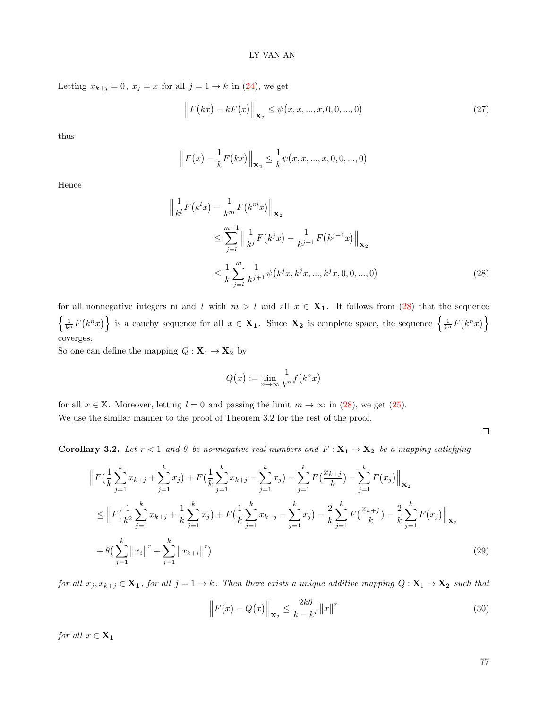Letting  $x_{k+j} = 0$ ,  $x_j = x$  for all  $j = 1 \rightarrow k$  in [\(24\)](#page-7-0), we get

$$
\left\| F(kx) - kF(x) \right\|_{\mathbf{X}_2} \le \psi(x, x, ..., x, 0, 0, ..., 0)
$$
\n(27)

thus

$$
\left\| F(x) - \frac{1}{k} F(kx) \right\|_{\mathbf{X}_2} \leq \frac{1}{k} \psi(x, x, ..., x, 0, 0, ..., 0)
$$

Hence

$$
\left\| \frac{1}{k^{l}} F(k^{l} x) - \frac{1}{k^{m}} F(k^{m} x) \right\|_{\mathbf{X}_{2}} \n\leq \sum_{j=l}^{m-1} \left\| \frac{1}{k^{j}} F(k^{j} x) - \frac{1}{k^{j+1}} F(k^{j+1} x) \right\|_{\mathbf{X}_{2}} \n\leq \frac{1}{k} \sum_{j=l}^{m} \frac{1}{k^{j+1}} \psi(k^{j} x, k^{j} x, ..., k^{j} x, 0, 0, ..., 0)
$$
\n(28)

for all nonnegative integers m and l with  $m > l$  and all  $x \in \mathbf{X}_1$ . It follows from [\(28\)](#page-8-0) that the sequence  $\left\{\frac{1}{k^n}F(k^n x)\right\}$  is a cauchy sequence for all  $x \in \mathbf{X_1}$ . Since  $\mathbf{X_2}$  is complete space, the sequence  $\left\{\frac{1}{k^n}F(k^n x)\right\}$ coverges.

So one can define the mapping  $\mathbfit{Q}:\mathbf{X}_1\to\mathbf{X}_2$  by

<span id="page-8-0"></span>
$$
Q\big(x\big):=\lim_{n\to\infty}\frac{1}{k^n}f\big(k^nx\big)
$$

for all  $x \in \mathbb{X}$ . Moreover, letting  $l = 0$  and passing the limit  $m \to \infty$  in [\(28\)](#page-8-0), we get [\(25\)](#page-7-1). We use the similar manner to the proof of Theorem 3.2 for the rest of the proof.

Corollary 3.2. Let  $r < 1$  and  $\theta$  be nonnegative real numbers and  $F: X_1 \to X_2$  be a mapping satisfying

$$
\|F\left(\frac{1}{k}\sum_{j=1}^{k}x_{k+j}+\sum_{j=1}^{k}x_j\right)+F\left(\frac{1}{k}\sum_{j=1}^{k}x_{k+j}-\sum_{j=1}^{k}x_j\right)-\sum_{j=1}^{k}F\left(\frac{x_{k+j}}{k}\right)-\sum_{j=1}^{k}F(x_j)\Big\|_{\mathbf{X}_2}
$$
\n
$$
\leq \left\|F\left(\frac{1}{k^2}\sum_{j=1}^{k}x_{k+j}+\frac{1}{k}\sum_{j=1}^{k}x_j\right)+F\left(\frac{1}{k}\sum_{j=1}^{k}x_{k+j}-\sum_{j=1}^{k}x_j\right)-\frac{2}{k}\sum_{j=1}^{k}F\left(\frac{x_{k+j}}{k}\right)-\frac{2}{k}\sum_{j=1}^{k}F(x_j)\Big\|_{\mathbf{X}_2}
$$
\n
$$
+\theta\left(\sum_{j=1}^{k}\left\|x_{i}\right\|^{r}+\sum_{j=1}^{k}\left\|x_{k+i}\right\|^{r}\right) \tag{29}
$$

for all  $x_j, x_{k+j} \in \mathbf{X_1}$ , for all  $j = 1 \to k$ . Then there exists a unique additive mapping  $Q: \mathbf{X}_1 \to \mathbf{X}_2$  such that

$$
\left\| F(x) - Q(x) \right\|_{\mathbf{X}_2} \le \frac{2k\theta}{k - k^r} \left\| x \right\|^r \tag{30}
$$

for all  $x \in \mathbf{X_1}$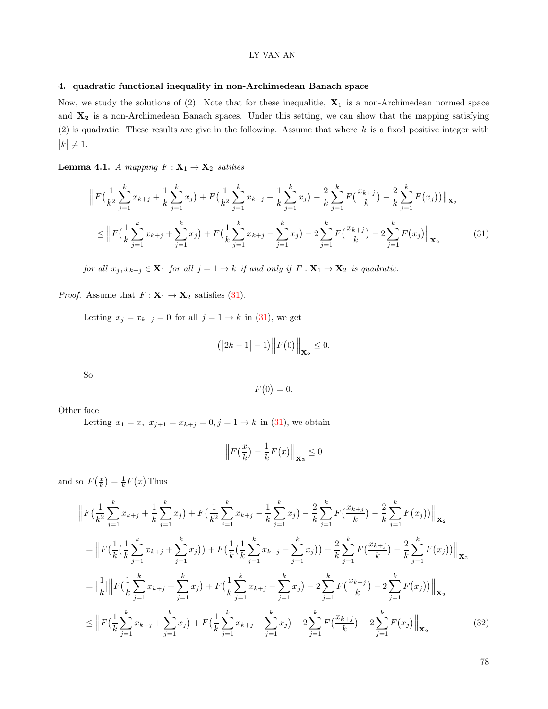### 4. quadratic functional inequality in non-Archimedean Banach space

Now, we study the solutions of  $(2)$ . Note that for these inequalitie,  $X_1$  is a non-Archimedean normed space and  $X_2$  is a non-Archimedean Banach spaces. Under this setting, we can show that the mapping satisfying (2) is quadratic. These results are give in the following. Assume that where  $k$  is a fixed positive integer with  $|k| \neq 1.$ 

**Lemma 4.1.** A mapping  $F: \mathbf{X}_1 \to \mathbf{X}_2$  satilies

$$
\|F\left(\frac{1}{k^2}\sum_{j=1}^k x_{k+j} + \frac{1}{k}\sum_{j=1}^k x_j\right) + F\left(\frac{1}{k^2}\sum_{j=1}^k x_{k+j} - \frac{1}{k}\sum_{j=1}^k x_j\right) - \frac{2}{k}\sum_{j=1}^k F\left(\frac{x_{k+j}}{k}\right) - \frac{2}{k}\sum_{j=1}^k F(x_j))\|_{\mathbf{X}_2}
$$
\n
$$
\leq \left\|F\left(\frac{1}{k}\sum_{j=1}^k x_{k+j} + \sum_{j=1}^k x_j\right) + F\left(\frac{1}{k}\sum_{j=1}^k x_{k+j} - \sum_{j=1}^k x_j\right) - 2\sum_{j=1}^k F\left(\frac{x_{k+j}}{k}\right) - 2\sum_{j=1}^k F(x_j)\right)\|_{\mathbf{X}_2}
$$
\n(31)

for all  $x_j, x_{k+j} \in \mathbf{X}_1$  for all  $j = 1 \to k$  if and only if  $F: \mathbf{X}_1 \to \mathbf{X}_2$  is quadratic.

*Proof.* Assume that  $F: \mathbf{X}_1 \to \mathbf{X}_2$  satisfies [\(31\)](#page-9-0).

Letting  $x_j = x_{k+j} = 0$  for all  $j = 1 \rightarrow k$  in [\(31\)](#page-9-0), we get

$$
(|2k-1|-1)\Big\|F(0)\Big\|_{\mathbf{X_2}}\leq 0.
$$

So

<span id="page-9-0"></span>
$$
F(0) = 0.
$$

Other face

Letting  $x_1 = x$ ,  $x_{j+1} = x_{k+j} = 0, j = 1 \rightarrow k$  in [\(31\)](#page-9-0), we obtain

$$
\left\| F\left(\frac{x}{k}\right) - \frac{1}{k} F\left(x\right) \right\|_{\mathbf{X_2}} \le 0
$$

and so  $F(\frac{x}{k}) = \frac{1}{k}F(x)$  Thus

$$
\|F\left(\frac{1}{k^2}\sum_{j=1}^k x_{k+j} + \frac{1}{k}\sum_{j=1}^k x_j\right) + F\left(\frac{1}{k^2}\sum_{j=1}^k x_{k+j} - \frac{1}{k}\sum_{j=1}^k x_j\right) - \frac{2}{k}\sum_{j=1}^k F\left(\frac{x_{k+j}}{k}\right) - \frac{2}{k}\sum_{j=1}^k F(x_j))\Big\|_{\mathbf{X}_2}
$$
\n
$$
= \left\|F\left(\frac{1}{k}\left(\frac{1}{k}\sum_{j=1}^k x_{k+j} + \sum_{j=1}^k x_j\right)\right) + F\left(\frac{1}{k}\left(\frac{1}{k}\sum_{j=1}^k x_{k+j} - \sum_{j=1}^k x_j\right)\right) - \frac{2}{k}\sum_{j=1}^k F\left(\frac{x_{k+j}}{k}\right) - \frac{2}{k}\sum_{j=1}^k F(x_j)\Big)\right\|_{\mathbf{X}_2}
$$
\n
$$
= \left|\frac{1}{k}\right| \left\|F\left(\frac{1}{k}\sum_{j=1}^k x_{k+j} + \sum_{j=1}^k x_j\right) + F\left(\frac{1}{k}\sum_{j=1}^k x_{k+j} - \sum_{j=1}^k x_j\right) - 2\sum_{j=1}^k F\left(\frac{x_{k+j}}{k}\right) - 2\sum_{j=1}^k F(x_j)\right)\right\|_{\mathbf{X}_2}
$$
\n
$$
\leq \left\|F\left(\frac{1}{k}\sum_{j=1}^k x_{k+j} + \sum_{j=1}^k x_j\right) + F\left(\frac{1}{k}\sum_{j=1}^k x_{k+j} - \sum_{j=1}^k x_j\right) - 2\sum_{j=1}^k F\left(\frac{x_{k+j}}{k}\right) - 2\sum_{j=1}^k F(x_j)\right)\right\|_{\mathbf{X}_2}
$$
\n(32)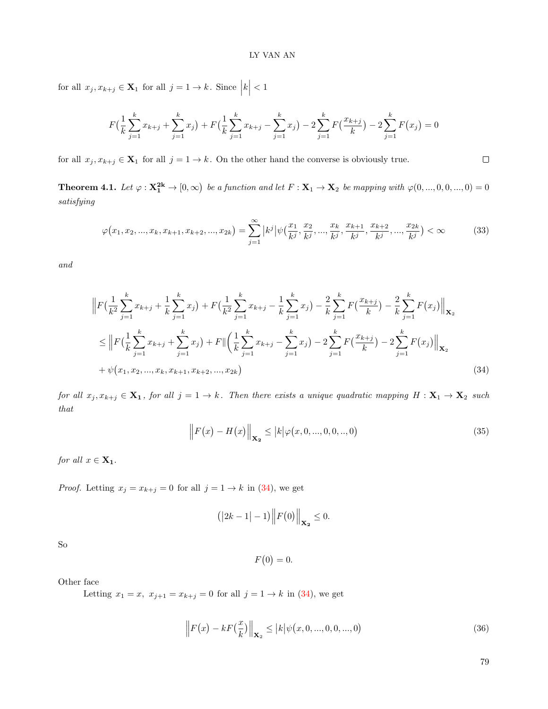for all  $x_j, x_{k+j} \in \mathbf{X}_1$  for all  $j = 1 \to k$ . Since  $|k| < 1$ 

$$
F\left(\frac{1}{k}\sum_{j=1}^{k}x_{k+j}+\sum_{j=1}^{k}x_j\right)+F\left(\frac{1}{k}\sum_{j=1}^{k}x_{k+j}-\sum_{j=1}^{k}x_j\right)-2\sum_{j=1}^{k}F\left(\frac{x_{k+j}}{k}\right)-2\sum_{j=1}^{k}F\left(x_j\right)=0
$$

for all  $x_j, x_{k+j} \in \mathbf{X}_1$  for all  $j = 1 \to k$ . On the other hand the converse is obviously true.

**Theorem 4.1.** Let  $\varphi : \mathbf{X_1^{2k}} \to [0, \infty)$  be a function and let  $F : \mathbf{X_1} \to \mathbf{X_2}$  be mapping with  $\varphi(0, ..., 0, 0, ..., 0) = 0$ satisfying

$$
\varphi(x_1, x_2, ..., x_k, x_{k+1}, x_{k+2}, ..., x_{2k}) = \sum_{j=1}^{\infty} |k^j| \psi(\frac{x_1}{k^j}, \frac{x_2}{k^j}, ..., \frac{x_k}{k^j}, \frac{x_{k+1}}{k^j}, \frac{x_{k+2}}{k^j}, ..., \frac{x_{2k}}{k^j}) < \infty
$$
(33)

and

$$
\|F\left(\frac{1}{k^2}\sum_{j=1}^k x_{k+j} + \frac{1}{k}\sum_{j=1}^k x_j\right) + F\left(\frac{1}{k^2}\sum_{j=1}^k x_{k+j} - \frac{1}{k}\sum_{j=1}^k x_j\right) - \frac{2}{k}\sum_{j=1}^k F\left(\frac{x_{k+j}}{k}\right) - \frac{2}{k}\sum_{j=1}^k F(x_j) \Big\|_{\mathbf{X}_2}
$$
\n
$$
\leq \left\|F\left(\frac{1}{k}\sum_{j=1}^k x_{k+j} + \sum_{j=1}^k x_j\right) + F\left\|\left(\frac{1}{k}\sum_{j=1}^k x_{k+j} - \sum_{j=1}^k x_j\right) - 2\sum_{j=1}^k F\left(\frac{x_{k+j}}{k}\right) - 2\sum_{j=1}^k F(x_j) \right\|_{\mathbf{X}_2}
$$
\n
$$
+ \psi(x_1, x_2, ..., x_k, x_{k+1}, x_{k+2}, ..., x_{2k}) \tag{34}
$$

for all  $x_j, x_{k+j} \in \mathbf{X_1}$ , for all  $j = 1 \to k$ . Then there exists a unique quadratic mapping  $H: \mathbf{X}_1 \to \mathbf{X}_2$  such that

<span id="page-10-2"></span><span id="page-10-0"></span>
$$
\|F(x) - H(x)\|_{\mathbf{X_2}} \le |k|\varphi(x, 0, ..., 0, 0, ..., 0)
$$
\n(35)

for all  $x \in \mathbf{X_1}$ .

*Proof.* Letting  $x_j = x_{k+j} = 0$  for all  $j = 1 \rightarrow k$  in [\(34\)](#page-10-0), we get

$$
(|2k-1|-1)\Big\|F(0)\Big\|_{\mathbf{X_2}}\leq 0.
$$

So

$$
F(0) = 0.
$$

Other face

Letting  $x_1 = x$ ,  $x_{j+1} = x_{k+j} = 0$  for all  $j = 1 \rightarrow k$  in [\(34\)](#page-10-0), we get

$$
\left\| F(x) - kF\left(\frac{x}{k}\right) \right\|_{\mathbf{X}_2} \le |k| \psi(x, 0, ..., 0, 0, ..., 0)
$$
\n(36)

<span id="page-10-1"></span>79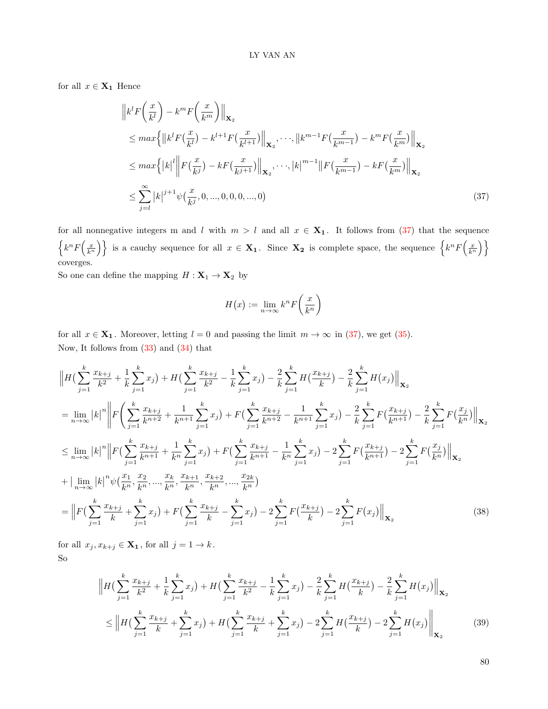for all  $x \in \mathbf{X_1}$  Hence

$$
\|k^l F\left(\frac{x}{k^l}\right) - k^m F\left(\frac{x}{k^m}\right)\|_{\mathbf{X}_2} \n\leq max \left\{ \|k^l F(\frac{x}{k^l}) - k^{l+1} F(\frac{x}{k^{l+1}})\|_{\mathbf{X}_2}, \dots, \|k^{m-1} F(\frac{x}{k^{m-1}}) - k^m F(\frac{x}{k^m})\|_{\mathbf{X}_2} \right\} \n\leq max \left\{ |k|^l \left\| F(\frac{x}{k^j}) - k F(\frac{x}{k^{j+1}})\right\|_{\mathbf{X}_2}, \dots, |k|^{m-1} \|F(\frac{x}{k^{m-1}}) - k F(\frac{x}{k^m})\|_{\mathbf{X}_2} \right\} \n\leq \sum_{j=l}^{\infty} |k|^{j+1} \psi(\frac{x}{k^j}, 0, \dots, 0, 0, 0, \dots, 0)
$$
\n(37)

for all nonnegative integers m and l with  $m > l$  and all  $x \in \mathbf{X}_1$ . It follows from [\(37\)](#page-11-0) that the sequence  $\left\{k^n F\left(\frac{x}{k^n}\right)\right\}$  is a cauchy sequence for all  $x \in \mathbf{X_1}$ . Since  $\mathbf{X_2}$  is complete space, the sequence  $\left\{k^n F\left(\frac{x}{k^n}\right)\right\}$ coverges.

So one can define the mapping  $H: \mathbf{X}_1 \to \mathbf{X}_2$  by

<span id="page-11-0"></span>
$$
H(x) := \lim_{n \to \infty} k^n F\left(\frac{x}{k^n}\right)
$$

for all  $x \in \mathbf{X_1}$ . Moreover, letting  $l = 0$  and passing the limit  $m \to \infty$  in [\(37\)](#page-11-0), we get [\(35\)](#page-10-1). Now, It follows from [\(33\)](#page-10-2) and [\(34\)](#page-10-0) that

$$
\|H\left(\sum_{j=1}^{k} \frac{x_{k+j}}{k^2} + \frac{1}{k} \sum_{j=1}^{k} x_j\right) + H\left(\sum_{j=1}^{k} \frac{x_{k+j}}{k^2} - \frac{1}{k} \sum_{j=1}^{k} x_j\right) - \frac{2}{k} \sum_{j=1}^{k} H\left(\frac{x_{k+j}}{k}\right) - \frac{2}{k} \sum_{j=1}^{k} H\left(x_j\right) \Big\|_{\mathbf{X}_2}
$$
\n
$$
= \lim_{n \to \infty} |k|^n \left\| F\left(\sum_{j=1}^{k} \frac{x_{k+j}}{k^{n+2}} + \frac{1}{k^{n+1}} \sum_{j=1}^{k} x_j\right) + F\left(\sum_{j=1}^{k} \frac{x_{k+j}}{k^{n+2}} - \frac{1}{k^{n+1}} \sum_{j=1}^{k} x_j\right) - \frac{2}{k} \sum_{j=1}^{k} F\left(\frac{x_{k+j}}{k^{n+1}}\right) - \frac{2}{k} \sum_{j=1}^{k} F\left(\frac{x_j}{k^n}\right) \Big\|_{\mathbf{X}_2}
$$
\n
$$
\leq \lim_{n \to \infty} |k|^n \left\| F\left(\sum_{j=1}^{k} \frac{x_{k+j}}{k^{n+1}} + \frac{1}{k^n} \sum_{j=1}^{k} x_j\right) + F\left(\sum_{j=1}^{k} \frac{x_{k+j}}{k^{n+1}} - \frac{1}{k^n} \sum_{j=1}^{k} x_j\right) - 2 \sum_{j=1}^{k} F\left(\frac{x_{k+j}}{k^{n+1}}\right) - 2 \sum_{j=1}^{k} F\left(\frac{x_j}{k^n}\right) \Big\|_{\mathbf{X}_2}
$$
\n
$$
+ \left| \lim_{n \to \infty} |k|^n \psi\left(\frac{x_1}{k^n}, \frac{x_2}{k^n}, \dots, \frac{x_k}{k^n}, \frac{x_{k+1}}{k^n}, \frac{x_{k+2}}{k^n}, \dots, \frac{x_{2k}}{k^n}\right) - 2 \sum_{j=1}^{k} F\left(\frac{x_{k+j}}{k}\right) - 2 \sum_{j=1}^{k} F\left(x_j\right) \Big\|_{\mathbf{X}_2}
$$
\n<

for all  $x_j, x_{k+j} \in \mathbf{X}_1$ , for all  $j = 1 \to k$ . So

$$
\|H\left(\sum_{j=1}^{k} \frac{x_{k+j}}{k^2} + \frac{1}{k} \sum_{j=1}^{k} x_j\right) + H\left(\sum_{j=1}^{k} \frac{x_{k+j}}{k^2} - \frac{1}{k} \sum_{j=1}^{k} x_j\right) - \frac{2}{k} \sum_{j=1}^{k} H\left(\frac{x_{k+j}}{k}\right) - \frac{2}{k} \sum_{j=1}^{k} H(x_j) \Big\|_{\mathbf{X}_2}
$$
\n
$$
\leq \left\|H\left(\sum_{j=1}^{k} \frac{x_{k+j}}{k} + \sum_{j=1}^{k} x_j\right) + H\left(\sum_{j=1}^{k} \frac{x_{k+j}}{k} + \sum_{j=1}^{k} x_j\right) - 2 \sum_{j=1}^{k} H\left(\frac{x_{k+j}}{k}\right) - 2 \sum_{j=1}^{k} H(x_j) \right\|_{\mathbf{X}_2}
$$
\n(39)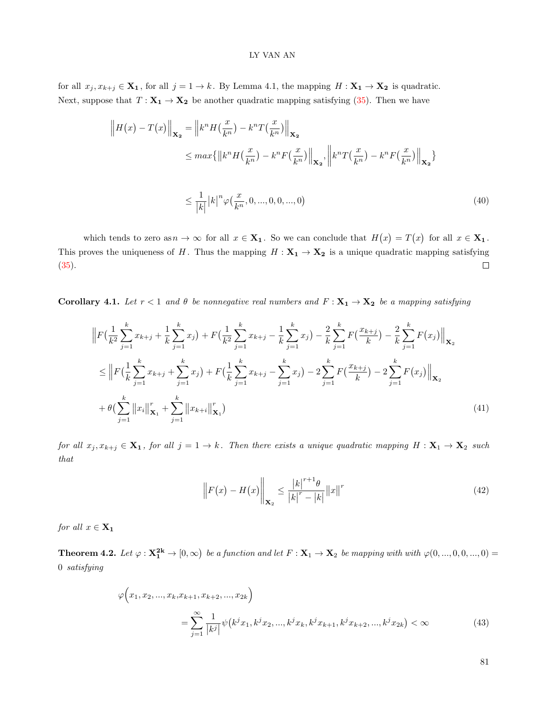for all  $x_j, x_{k+j} \in \mathbf{X_1}$ , for all  $j = 1 \to k$ . By Lemma 4.1, the mapping  $H : \mathbf{X_1} \to \mathbf{X_2}$  is quadratic. Next, suppose that  $T: \mathbf{X_1} \to \mathbf{X_2}$  be another quadratic mapping satisfying [\(35\)](#page-10-1). Then we have

$$
\|H(x) - T(x)\|_{\mathbf{X}_2} = \|k^n H(\frac{x}{k^n}) - k^n T(\frac{x}{k^n})\|_{\mathbf{X}_2}
$$
  
\n
$$
\leq max \{ \|k^n H(\frac{x}{k^n}) - k^n F(\frac{x}{k^n})\|_{\mathbf{X}_2}, \left\|k^n T(\frac{x}{k^n}) - k^n F(\frac{x}{k^n})\right\|_{\mathbf{X}_2} \}
$$
  
\n
$$
\leq \frac{1}{|k|} |k|^n \varphi(\frac{x}{k^n}, 0, ..., 0, 0, ..., 0)
$$
\n(40)

which tends to zero as  $n \to \infty$  for all  $x \in \mathbf{X_1}$ . So we can conclude that  $H(x) = T(x)$  for all  $x \in \mathbf{X_1}$ . This proves the uniqueness of H. Thus the mapping  $H : X_1 \to X_2$  is a unique quadratic mapping satisfying [\(35\)](#page-10-1).  $\Box$ 

Corollary 4.1. Let  $r < 1$  and  $\theta$  be nonnegative real numbers and  $F: X_1 \to X_2$  be a mapping satisfying

$$
\|F\left(\frac{1}{k^2}\sum_{j=1}^k x_{k+j} + \frac{1}{k}\sum_{j=1}^k x_j\right) + F\left(\frac{1}{k^2}\sum_{j=1}^k x_{k+j} - \frac{1}{k}\sum_{j=1}^k x_j\right) - \frac{2}{k}\sum_{j=1}^k F\left(\frac{x_{k+j}}{k}\right) - \frac{2}{k}\sum_{j=1}^k F(x_j) \Big\|_{\mathbf{X}_2}
$$
\n
$$
\leq \left\|F\left(\frac{1}{k}\sum_{j=1}^k x_{k+j} + \sum_{j=1}^k x_j\right) + F\left(\frac{1}{k}\sum_{j=1}^k x_{k+j} - \sum_{j=1}^k x_j\right) - 2\sum_{j=1}^k F\left(\frac{x_{k+j}}{k}\right) - 2\sum_{j=1}^k F(x_j) \Big\|_{\mathbf{X}_2}
$$
\n
$$
+ \theta\left(\sum_{j=1}^k \left\|x_i\right\|_{\mathbf{X}_1}^r + \sum_{j=1}^k \left\|x_{k+i}\right\|_{\mathbf{X}_1}^r\right) \tag{41}
$$

for all  $x_j, x_{k+j} \in \mathbf{X_1}$ , for all  $j = 1 \to k$ . Then there exists a unique quadratic mapping  $H: \mathbf{X}_1 \to \mathbf{X}_2$  such that

$$
\left\| F(x) - H(x) \right\|_{\mathbf{X}_2} \le \frac{|k|^{r+1} \theta}{|k|^r - |k|} \|x\|^r \tag{42}
$$

for all  $x \in \mathbf{X_1}$ 

**Theorem 4.2.** Let  $\varphi : \mathbf{X_1^{2k}} \to [0, \infty)$  be a function and let  $F : \mathbf{X_1} \to \mathbf{X_2}$  be mapping with with  $\varphi(0, ..., 0, 0, ..., 0) =$ 0 satisfying

$$
\varphi(x_1, x_2, ..., x_k, x_{k+1}, x_{k+2}, ..., x_{2k})
$$
\n
$$
= \sum_{j=1}^{\infty} \frac{1}{|k^j|} \psi(k^j x_1, k^j x_2, ..., k^j x_k, k^j x_{k+1}, k^j x_{k+2}, ..., k^j x_{2k}) < \infty
$$
\n(43)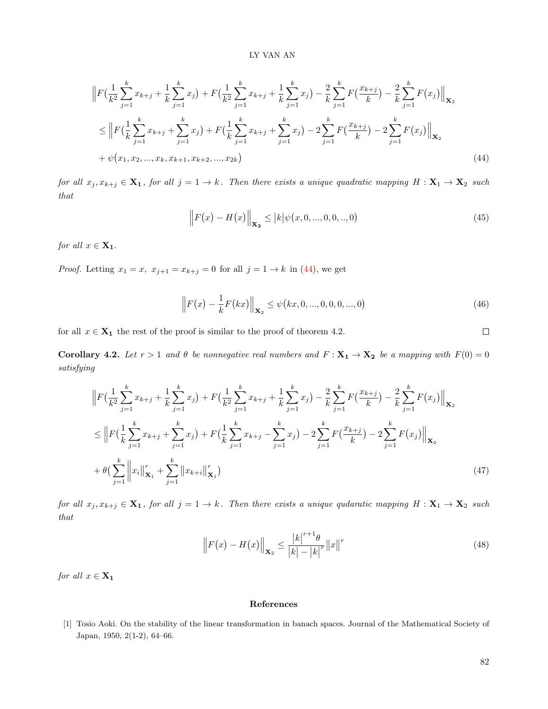$$
\|F\left(\frac{1}{k^2}\sum_{j=1}^k x_{k+j} + \frac{1}{k}\sum_{j=1}^k x_j\right) + F\left(\frac{1}{k^2}\sum_{j=1}^k x_{k+j} + \frac{1}{k}\sum_{j=1}^k x_j\right) - \frac{2}{k}\sum_{j=1}^k F\left(\frac{x_{k+j}}{k}\right) - \frac{2}{k}\sum_{j=1}^k F(x_j) \Big\|_{\mathbf{X}_2}
$$
\n
$$
\leq \left\|F\left(\frac{1}{k}\sum_{j=1}^k x_{k+j} + \sum_{j=1}^k x_j\right) + F\left(\frac{1}{k}\sum_{j=1}^k x_{k+j} + \sum_{j=1}^k x_j\right) - 2\sum_{j=1}^k F\left(\frac{x_{k+j}}{k}\right) - 2\sum_{j=1}^k F(x_j) \Big\|_{\mathbf{X}_2}
$$
\n
$$
+ \psi(x_1, x_2, ..., x_k, x_{k+1}, x_{k+2}, ..., x_{2k}) \tag{44}
$$

for all  $x_j, x_{k+j} \in \mathbf{X_1}$ , for all  $j = 1 \to k$ . Then there exists a unique quadratic mapping  $H: \mathbf{X}_1 \to \mathbf{X}_2$  such that

<span id="page-13-0"></span>
$$
\left\| F(x) - H(x) \right\|_{\mathbf{X}_2} \le |k| \psi(x, 0, ..., 0, 0, ..., 0)
$$
\n(45)

for all  $x \in \mathbf{X}_1$ .

*Proof.* Letting  $x_1 = x$ ,  $x_{j+1} = x_{k+j} = 0$  for all  $j = 1 \rightarrow k$  in [\(44\)](#page-13-0), we get

$$
\left\| F(x) - \frac{1}{k} F(kx) \right\|_{\mathbf{X}_2} \le \psi(kx, 0, ..., 0, 0, 0, ..., 0)
$$
\n(46)

for all  $x \in \mathbf{X_1}$  the rest of the proof is similar to the proof of theorem 4.2.

Corollary 4.2. Let  $r > 1$  and  $\theta$  be nonnegative real numbers and  $F: X_1 \to X_2$  be a mapping with  $F(0) = 0$ satisfying

$$
\|F\left(\frac{1}{k^2}\sum_{j=1}^k x_{k+j} + \frac{1}{k}\sum_{j=1}^k x_j\right) + F\left(\frac{1}{k^2}\sum_{j=1}^k x_{k+j} + \frac{1}{k}\sum_{j=1}^k x_j\right) - \frac{2}{k}\sum_{j=1}^k F\left(\frac{x_{k+j}}{k}\right) - \frac{2}{k}\sum_{j=1}^k F(x_j) \Big\|_{\mathbf{X}_2}
$$
\n
$$
\leq \left\|F\left(\frac{1}{k}\sum_{j=1}^k x_{k+j} + \sum_{j=1}^k x_j\right) + F\left(\frac{1}{k}\sum_{j=1}^k x_{k+j} - \sum_{j=1}^k x_j\right) - 2\sum_{j=1}^k F\left(\frac{x_{k+j}}{k}\right) - 2\sum_{j=1}^k F(x_j) \Big\|_{\mathbf{X}_2}
$$
\n
$$
+ \theta\left(\sum_{j=1}^k \left\|x_i\right\|_{\mathbf{X}_1}^r + \sum_{j=1}^k \left\|x_{k+j}\right\|_{\mathbf{X}_1}^r\right) \tag{47}
$$

for all  $x_j, x_{k+j} \in \mathbf{X_1}$ , for all  $j = 1 \to k$ . Then there exists a unique qudaratic mapping  $H: \mathbf{X}_1 \to \mathbf{X}_2$  such that

$$
\left\| F(x) - H(x) \right\|_{\mathbf{X}_2} \le \frac{|k|^{r+1} \theta}{|k| - |k|^r} ||x||^r \tag{48}
$$

for all  $x \in \mathbf{X_1}$ 

### References

[1] Tosio Aoki. On the stability of the linear transformation in banach spaces. Journal of the Mathematical Society of Japan, 1950, 2(1-2), 64–66.